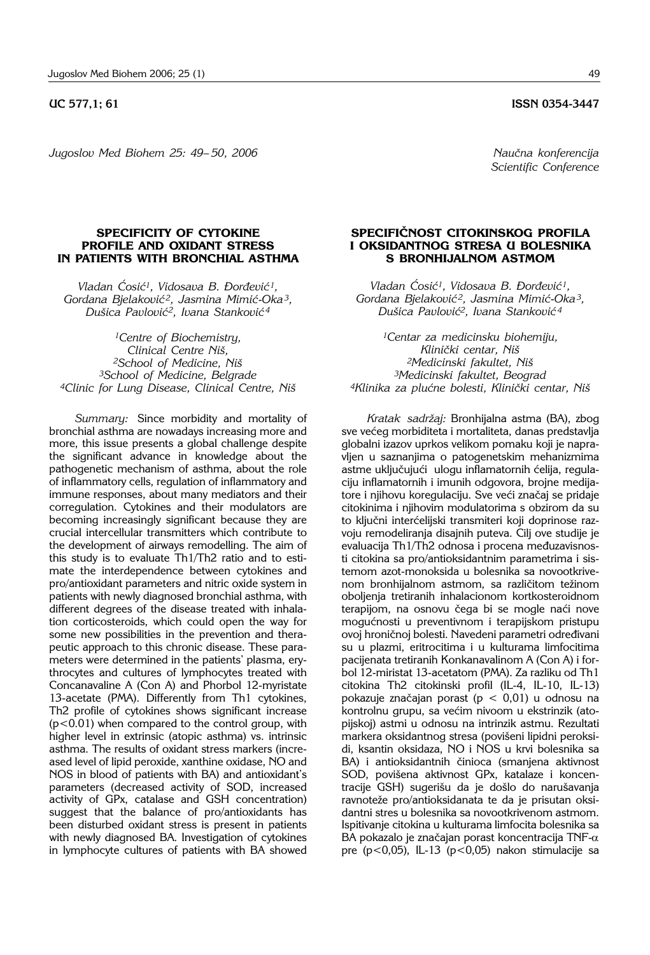## **UC 577.1: 61** ISSN 0354-3447

*Jugoslov Med Biohem 25: 49–50, 2006* Naučna konferencija

*Scientific Conference*

## **SPECIFICITY OF CYTOKINE PROFILE AND OXIDANT STRESS IN PATIENTS WITH BRONCHIAL ASTHMA**

*Vladan ]osi}1, Vidosava B. \or|evi}1, Gordana Bjelakovi} 2, Jasmina Mimi}*-*Oka3, Du{ica Pavlovi}2, Ivana Stankovi} <sup>4</sup>*

*1Centre of Biochemistry, Clinical Centre Ni{, 2School of Medicine, Ni{ 3School of Medicine, Belgrade 4Clinic for Lung Disease, Clinical Centre, Ni{*

*Summary:* Since morbidity and mortality of bronchial asthma are nowadays increasing more and more, this issue presents a global challenge despite the significant advance in knowledge about the pathogenetic mechanism of asthma, about the role of inflammatory cells, regulation of inflammatory and immune responses, about many mediators and their corregulation. Cytokines and their modulators are becoming increasingly significant because they are crucial intercellular transmitters which contribute to the development of airways remodelling. The aim of this study is to evaluate Th1/Th2 ratio and to estimate the interdependence between cytokines and pro/antioxidant parameters and nitric oxide system in patients with newly diagnosed bronchial asthma, with different degrees of the disease treated with inhalation corticosteroids, which could open the way for some new possibilities in the prevention and therapeutic approach to this chronic disease. These parameters were determined in the patients' plasma, erythrocytes and cultures of lymphocytes treated with Concanavaline A (Con A) and Phorbol 12-myristate 13-acetate (PMA). Differently from Th1 cytokines, Th2 profile of cytokines shows significant increase (p<0.01) when compared to the control group, with higher level in extrinsic (atopic asthma) vs. intrinsic asthma. The results of oxidant stress markers (increased level of lipid peroxide, xanthine oxidase, NO and NOS in blood of patients with BA) and antioxidant's parameters (decreased activity of SOD, increased activity of GPx, catalase and GSH concentration) suggest that the balance of pro/antioxidants has been disturbed oxidant stress is present in patients with newly diagnosed BA. Investigation of cytokines in lymphocyte cultures of patients with BA showed

## **SPECIFI^NOST CITOKINSKOG PROFILA I OKSIDANTNOG STRESA U BOLESNIKA S BRONHIJALNOM ASTMOM**

*Vladan Ćosić<sup>1</sup>, Vidosava B. Đorđević<sup>1</sup>, Gordana Bjelakovi} 2, Jasmina Mimi}*-*Oka3, Du{ica Pavlovi}2, Ivana Stankovi} <sup>4</sup>*

*1Centar za medicinsku biohemiju,*  Klinički centar, Niš *2Medicinski fakultet, Ni{ 3Medicinski fakultet, Beograd* 4Klinika za plućne bolesti, Klinički centar, Niš

*Kratak sadr`aj:* Bronhijalna astma (BA), zbog sve većeg morbiditeta i mortaliteta, danas predstavlja globalni izazov uprkos velikom pomaku koji je napravljen u saznanjima o patogenetskim mehanizmima astme uključujući ulogu inflamatornih ćelija, regulaciju inflamatornih i imunih odgovora, brojne medijatore i njihovu koregulaciju. Sve veći značaj se pridaje citokinima i njihovim modulatorima s obzirom da su to ključni interćelijski transmiteri koji doprinose razvoju remodeliranja disajnih puteva. Cilj ove studije je evaluacija Th1/Th2 odnosa i procena međuzavisnosti citokina sa pro/antioksidantnim parametrima i sistemom azot-monoksida u bolesnika sa novootkrivenom bronhijalnom astmom, sa različitom težinom oboljenja tretiranih inhalacionom kortkosteroidnom terapijom, na osnovu čega bi se mogle naći nove mogućnosti u preventivnom i terapijskom pristupu ovoj hroničnoj bolesti. Navedeni parametri određivani su u plazmi, eritrocitima i u kulturama limfocitima pacijenata tretiranih Konkanavalinom A (Con A) i forbol 12-miristat 13-acetatom (PMA). Za razliku od Th1 citokina Th2 citokinski profil (IL-4, IL-10, IL-13) pokazuje značajan porast ( $p < 0.01$ ) u odnosu na kontrolnu grupu, sa većim nivoom u ekstrinzik (atopijskoj) astmi u odnosu na intrinzik astmu. Rezultati markera oksidantnog stresa (povišeni lipidni peroksidi, ksantin oksidaza, NO i NOS u krvi bolesnika sa BA) i antioksidantnih činioca (smanjena aktivnost SOD, povišena aktivnost GPx, katalaze i koncentracije GSH) sugerišu da je došlo do narušavanja ravnoteže pro/antioksidanata te da je prisutan oksidantni stres u bolesnika sa novootkrivenom astmom. Ispitivanje citokina u kulturama limfocita bolesnika sa BA pokazalo je značajan porast koncentracija TNF- $\alpha$ pre (p<0,05), IL-13 (p<0,05) nakon stimulacije sa